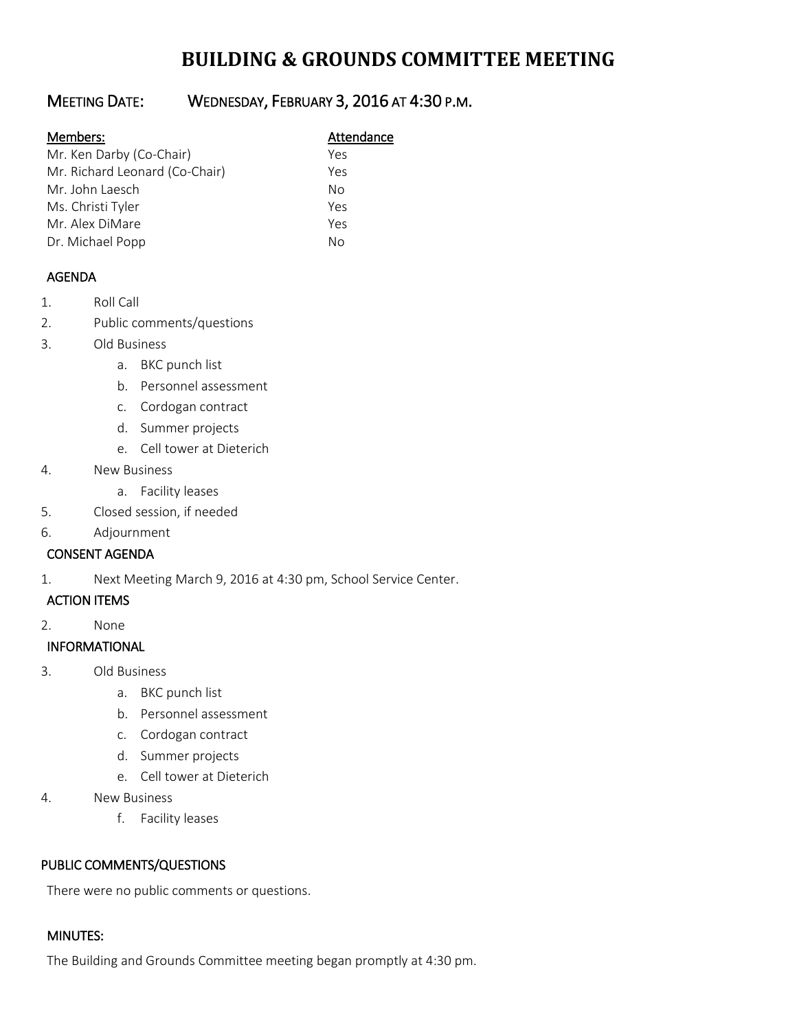# **BUILDING & GROUNDS COMMITTEE MEETING**

## MEETING DATE: WEDNESDAY, FEBRUARY 3, 2016 AT 4:30 P.M.

#### Members: Manual Members: Attendance

| Mr. Ken Darby (Co-Chair)       | Yes |
|--------------------------------|-----|
| Mr. Richard Leonard (Co-Chair) | Yes |
| Mr. John Laesch                | Nο  |
| Ms. Christi Tyler              | Yes |
| Mr. Alex DiMare                | Yes |
| Dr. Michael Popp               | Nο  |

### AGENDA

- 1. Roll Call
- 2. Public comments/questions
- 3. Old Business
	- a. BKC punch list
	- b. Personnel assessment
	- c. Cordogan contract
	- d. Summer projects
	- e. Cell tower at Dieterich
- 4. New Business
	- a. Facility leases
- 5. Closed session, if needed
- 6. Adjournment

#### CONSENT AGENDA

1. Next Meeting March 9, 2016 at 4:30 pm, School Service Center.

#### ACTION ITEMS

2. None

#### INFORMATIONAL

- 3. Old Business
	- a. BKC punch list
	- b. Personnel assessment
	- c. Cordogan contract
	- d. Summer projects
	- e. Cell tower at Dieterich
- 4. New Business
	- f. Facility leases

#### PUBLIC COMMENTS/QUESTIONS

There were no public comments or questions.

### MINUTES:

The Building and Grounds Committee meeting began promptly at 4:30 pm.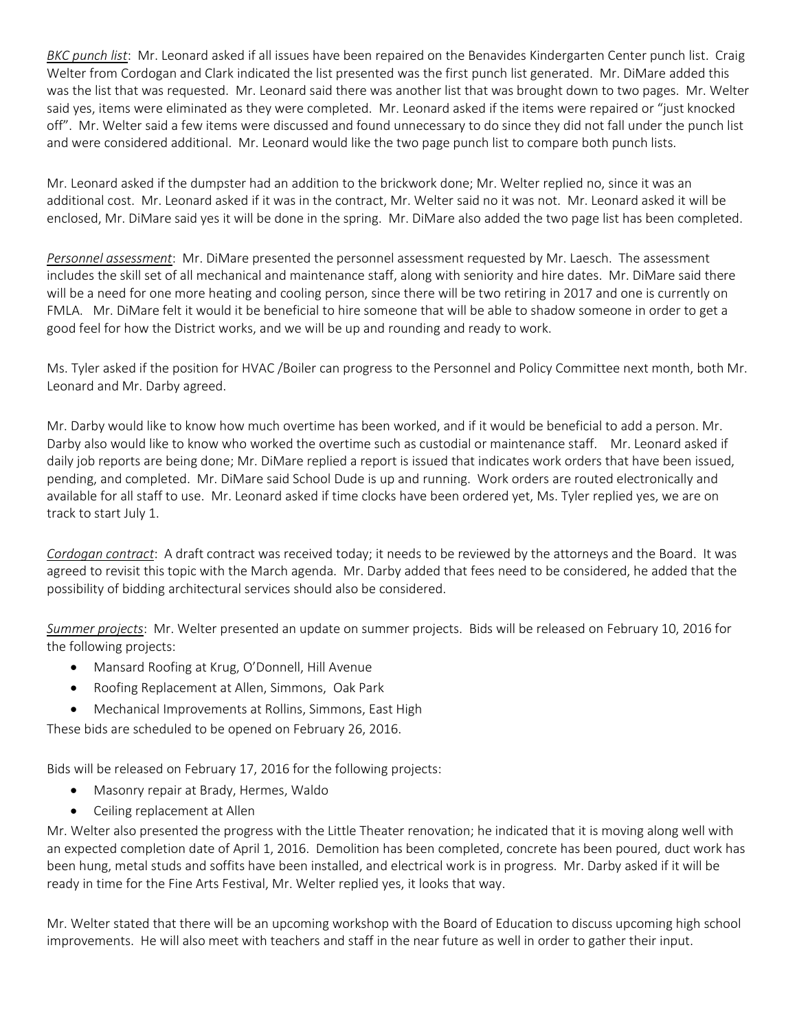*BKC punch list*: Mr. Leonard asked if all issues have been repaired on the Benavides Kindergarten Center punch list. Craig Welter from Cordogan and Clark indicated the list presented was the first punch list generated. Mr. DiMare added this was the list that was requested. Mr. Leonard said there was another list that was brought down to two pages. Mr. Welter said yes, items were eliminated as they were completed. Mr. Leonard asked if the items were repaired or "just knocked off". Mr. Welter said a few items were discussed and found unnecessary to do since they did not fall under the punch list and were considered additional. Mr. Leonard would like the two page punch list to compare both punch lists.

Mr. Leonard asked if the dumpster had an addition to the brickwork done; Mr. Welter replied no, since it was an additional cost. Mr. Leonard asked if it was in the contract, Mr. Welter said no it was not. Mr. Leonard asked it will be enclosed, Mr. DiMare said yes it will be done in the spring. Mr. DiMare also added the two page list has been completed.

*Personnel assessment*: Mr. DiMare presented the personnel assessment requested by Mr. Laesch. The assessment includes the skill set of all mechanical and maintenance staff, along with seniority and hire dates. Mr. DiMare said there will be a need for one more heating and cooling person, since there will be two retiring in 2017 and one is currently on FMLA. Mr. DiMare felt it would it be beneficial to hire someone that will be able to shadow someone in order to get a good feel for how the District works, and we will be up and rounding and ready to work.

Ms. Tyler asked if the position for HVAC /Boiler can progress to the Personnel and Policy Committee next month, both Mr. Leonard and Mr. Darby agreed.

Mr. Darby would like to know how much overtime has been worked, and if it would be beneficial to add a person. Mr. Darby also would like to know who worked the overtime such as custodial or maintenance staff. Mr. Leonard asked if daily job reports are being done; Mr. DiMare replied a report is issued that indicates work orders that have been issued, pending, and completed. Mr. DiMare said School Dude is up and running. Work orders are routed electronically and available for all staff to use. Mr. Leonard asked if time clocks have been ordered yet, Ms. Tyler replied yes, we are on track to start July 1.

*Cordogan contract*: A draft contract was received today; it needs to be reviewed by the attorneys and the Board. It was agreed to revisit this topic with the March agenda. Mr. Darby added that fees need to be considered, he added that the possibility of bidding architectural services should also be considered.

*Summer projects*: Mr. Welter presented an update on summer projects. Bids will be released on February 10, 2016 for the following projects:

- Mansard Roofing at Krug, O'Donnell, Hill Avenue
- Roofing Replacement at Allen, Simmons, Oak Park
- Mechanical Improvements at Rollins, Simmons, East High

These bids are scheduled to be opened on February 26, 2016.

Bids will be released on February 17, 2016 for the following projects:

- Masonry repair at Brady, Hermes, Waldo
- Ceiling replacement at Allen

Mr. Welter also presented the progress with the Little Theater renovation; he indicated that it is moving along well with an expected completion date of April 1, 2016. Demolition has been completed, concrete has been poured, duct work has been hung, metal studs and soffits have been installed, and electrical work is in progress. Mr. Darby asked if it will be ready in time for the Fine Arts Festival, Mr. Welter replied yes, it looks that way.

Mr. Welter stated that there will be an upcoming workshop with the Board of Education to discuss upcoming high school improvements. He will also meet with teachers and staff in the near future as well in order to gather their input.